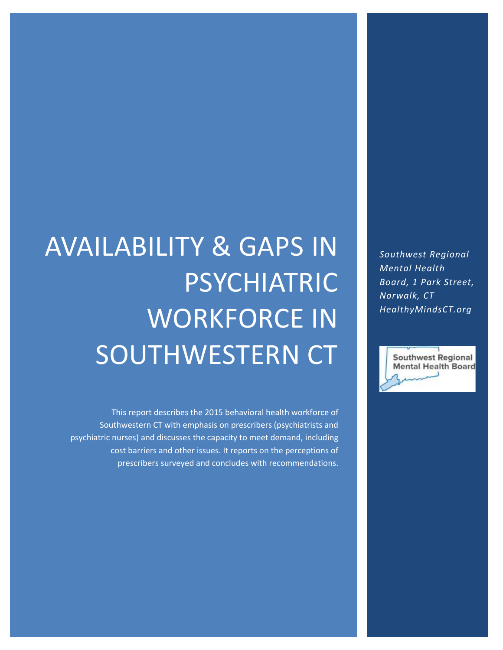*Southwest Regional Mental Health Board, 1 Park Street, Norwalk, CT HealthyMindsCT.org*



# AVAILABILITY & GAPS IN PSYCHIATRIC WORKFORCE IN SOUTHWESTERN CT

This report describes the 2015 behavioral health workforce of Southwestern CT with emphasis on prescribers (psychiatrists and psychiatric nurses) and discusses the capacity to meet demand, including cost barriers and other issues. It reports on the perceptions of prescribers surveyed and concludes with recommendations.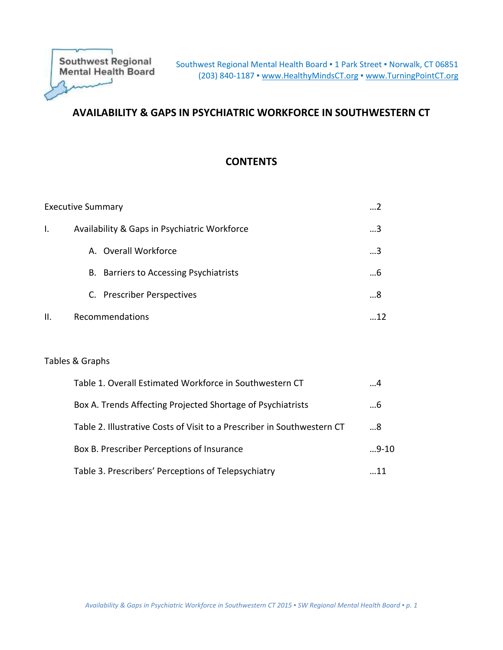# **AVAILABILITY & GAPS IN PSYCHIATRIC WORKFORCE IN SOUTHWESTERN CT**

# **CONTENTS**

|    | <b>Executive Summary</b>                     |   |
|----|----------------------------------------------|---|
| Ι. | Availability & Gaps in Psychiatric Workforce | 3 |
|    | A. Overall Workforce                         | 3 |
|    | B. Barriers to Accessing Psychiatrists       | 6 |
|    | C. Prescriber Perspectives                   | 8 |
| Ш. | Recommendations                              |   |

#### Tables & Graphs

| Table 1. Overall Estimated Workforce in Southwestern CT                 | . 4    |
|-------------------------------------------------------------------------|--------|
| Box A. Trends Affecting Projected Shortage of Psychiatrists             | 6      |
| Table 2. Illustrative Costs of Visit to a Prescriber in Southwestern CT | 8      |
| Box B. Prescriber Perceptions of Insurance                              | $9-10$ |
| Table 3. Prescribers' Perceptions of Telepsychiatry                     | - 11   |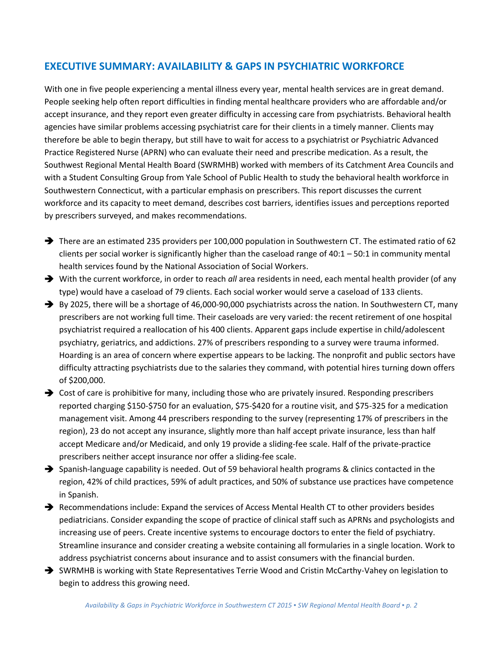# **EXECUTIVE SUMMARY: AVAILABILITY & GAPS IN PSYCHIATRIC WORKFORCE**

With one in five people experiencing a mental illness every year, mental health services are in great demand. People seeking help often report difficulties in finding mental healthcare providers who are affordable and/or accept insurance, and they report even greater difficulty in accessing care from psychiatrists. Behavioral health agencies have similar problems accessing psychiatrist care for their clients in a timely manner. Clients may therefore be able to begin therapy, but still have to wait for access to a psychiatrist or Psychiatric Advanced Practice Registered Nurse (APRN) who can evaluate their need and prescribe medication. As a result, the Southwest Regional Mental Health Board (SWRMHB) worked with members of its Catchment Area Councils and with a Student Consulting Group from Yale School of Public Health to study the behavioral health workforce in Southwestern Connecticut, with a particular emphasis on prescribers. This report discusses the current workforce and its capacity to meet demand, describes cost barriers, identifies issues and perceptions reported by prescribers surveyed, and makes recommendations.

- There are an estimated 235 providers per 100,000 population in Southwestern CT. The estimated ratio of 62 clients per social worker is significantly higher than the caseload range of 40:1 – 50:1 in community mental health services found by the National Association of Social Workers.
- With the current workforce, in order to reach *all* area residents in need, each mental health provider (of any type) would have a caseload of 79 clients. Each social worker would serve a caseload of 133 clients.
- By 2025, there will be a shortage of 46,000-90,000 psychiatrists across the nation. In Southwestern CT, many prescribers are not working full time. Their caseloads are very varied: the recent retirement of one hospital psychiatrist required a reallocation of his 400 clients. Apparent gaps include expertise in child/adolescent psychiatry, geriatrics, and addictions. 27% of prescribers responding to a survey were trauma informed. Hoarding is an area of concern where expertise appears to be lacking. The nonprofit and public sectors have difficulty attracting psychiatrists due to the salaries they command, with potential hires turning down offers of \$200,000.
- → Cost of care is prohibitive for many, including those who are privately insured. Responding prescribers reported charging \$150-\$750 for an evaluation, \$75-\$420 for a routine visit, and \$75-325 for a medication management visit. Among 44 prescribers responding to the survey (representing 17% of prescribers in the region), 23 do not accept any insurance, slightly more than half accept private insurance, less than half accept Medicare and/or Medicaid, and only 19 provide a sliding-fee scale. Half of the private-practice prescribers neither accept insurance nor offer a sliding-fee scale.
- $\rightarrow$  Spanish-language capability is needed. Out of 59 behavioral health programs & clinics contacted in the region, 42% of child practices, 59% of adult practices, and 50% of substance use practices have competence in Spanish.
- Recommendations include: Expand the services of Access Mental Health CT to other providers besides pediatricians. Consider expanding the scope of practice of clinical staff such as APRNs and psychologists and increasing use of peers. Create incentive systems to encourage doctors to enter the field of psychiatry. Streamline insurance and consider creating a website containing all formularies in a single location. Work to address psychiatrist concerns about insurance and to assist consumers with the financial burden.
- SWRMHB is working with State Representatives Terrie Wood and Cristin McCarthy-Vahey on legislation to begin to address this growing need.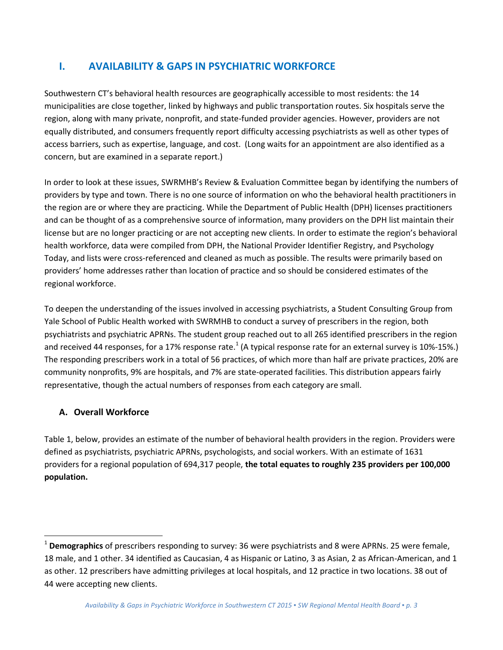# **I. AVAILABILITY & GAPS IN PSYCHIATRIC WORKFORCE**

Southwestern CT's behavioral health resources are geographically accessible to most residents: the 14 municipalities are close together, linked by highways and public transportation routes. Six hospitals serve the region, along with many private, nonprofit, and state-funded provider agencies. However, providers are not equally distributed, and consumers frequently report difficulty accessing psychiatrists as well as other types of access barriers, such as expertise, language, and cost. (Long waits for an appointment are also identified as a concern, but are examined in a separate report.)

In order to look at these issues, SWRMHB's Review & Evaluation Committee began by identifying the numbers of providers by type and town. There is no one source of information on who the behavioral health practitioners in the region are or where they are practicing. While the Department of Public Health (DPH) licenses practitioners and can be thought of as a comprehensive source of information, many providers on the DPH list maintain their license but are no longer practicing or are not accepting new clients. In order to estimate the region's behavioral health workforce, data were compiled from DPH, the National Provider Identifier Registry, and Psychology Today, and lists were cross-referenced and cleaned as much as possible. The results were primarily based on providers' home addresses rather than location of practice and so should be considered estimates of the regional workforce.

To deepen the understanding of the issues involved in accessing psychiatrists, a Student Consulting Group from Yale School of Public Health worked with SWRMHB to conduct a survey of prescribers in the region, both psychiatrists and psychiatric APRNs. The student group reached out to all 265 identified prescribers in the region and received 44 responses, for a 17% response rate.<sup>1</sup> (A typical response rate for an external survey is 10%-15%.) The responding prescribers work in a total of 56 practices, of which more than half are private practices, 20% are community nonprofits, 9% are hospitals, and 7% are state-operated facilities. This distribution appears fairly representative, though the actual numbers of responses from each category are small.

# **A. Overall Workforce**

 $\overline{\phantom{a}}$ 

Table 1, below, provides an estimate of the number of behavioral health providers in the region. Providers were defined as psychiatrists, psychiatric APRNs, psychologists, and social workers. With an estimate of 1631 providers for a regional population of 694,317 people, **the total equates to roughly 235 providers per 100,000 population.**

<sup>1</sup> **Demographics** of prescribers responding to survey: 36 were psychiatrists and 8 were APRNs. 25 were female, 18 male, and 1 other. 34 identified as Caucasian, 4 as Hispanic or Latino, 3 as Asian, 2 as African-American, and 1 as other. 12 prescribers have admitting privileges at local hospitals, and 12 practice in two locations. 38 out of 44 were accepting new clients.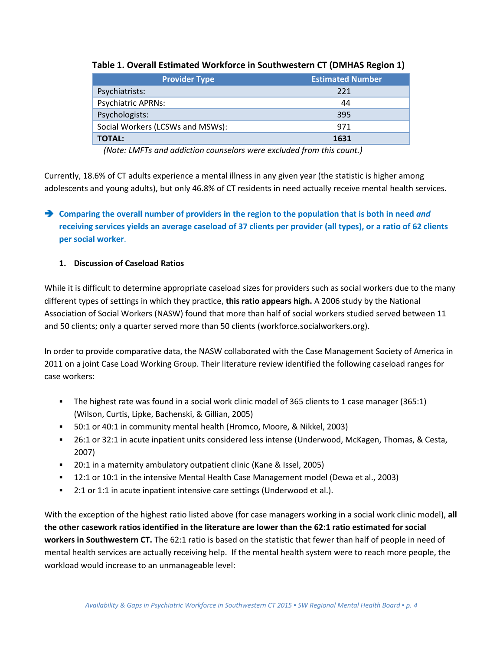| <b>Provider Type</b>             | <b>Estimated Number</b> |
|----------------------------------|-------------------------|
| Psychiatrists:                   | 221                     |
| <b>Psychiatric APRNs:</b>        | 44                      |
| Psychologists:                   | 395                     |
| Social Workers (LCSWs and MSWs): | 971                     |
| <b>TOTAL:</b>                    | 1631                    |

#### **Table 1. Overall Estimated Workforce in Southwestern CT (DMHAS Region 1)**

*(Note: LMFTs and addiction counselors were excluded from this count.)*

Currently, 18.6% of CT adults experience a mental illness in any given year (the statistic is higher among adolescents and young adults), but only 46.8% of CT residents in need actually receive mental health services.

# **Comparing the overall number of providers in the region to the population that is both in need** *and* **receiving services yields an average caseload of 37 clients per provider (all types), or a ratio of 62 clients per social worker**.

#### **1. Discussion of Caseload Ratios**

While it is difficult to determine appropriate caseload sizes for providers such as social workers due to the many different types of settings in which they practice, **this ratio appears high.** A 2006 study by the National Association of Social Workers (NASW) found that more than half of social workers studied served between 11 and 50 clients; only a quarter served more than 50 clients (workforce.socialworkers.org).

In order to provide comparative data, the NASW collaborated with the Case Management Society of America in 2011 on a joint Case Load Working Group. Their literature review identified the following caseload ranges for case workers:

- The highest rate was found in a social work clinic model of 365 clients to 1 case manager (365:1) (Wilson, Curtis, Lipke, Bachenski, & Gillian, 2005)
- 50:1 or 40:1 in community mental health (Hromco, Moore, & Nikkel, 2003)
- 26:1 or 32:1 in acute inpatient units considered less intense (Underwood, McKagen, Thomas, & Cesta, 2007)
- **20:1 in a maternity ambulatory outpatient clinic (Kane & Issel, 2005)**
- 12:1 or 10:1 in the intensive Mental Health Case Management model (Dewa et al., 2003)
- 2:1 or 1:1 in acute inpatient intensive care settings (Underwood et al.).

With the exception of the highest ratio listed above (for case managers working in a social work clinic model), **all the other casework ratios identified in the literature are lower than the 62:1 ratio estimated for social workers in Southwestern CT.** The 62:1 ratio is based on the statistic that fewer than half of people in need of mental health services are actually receiving help. If the mental health system were to reach more people, the workload would increase to an unmanageable level: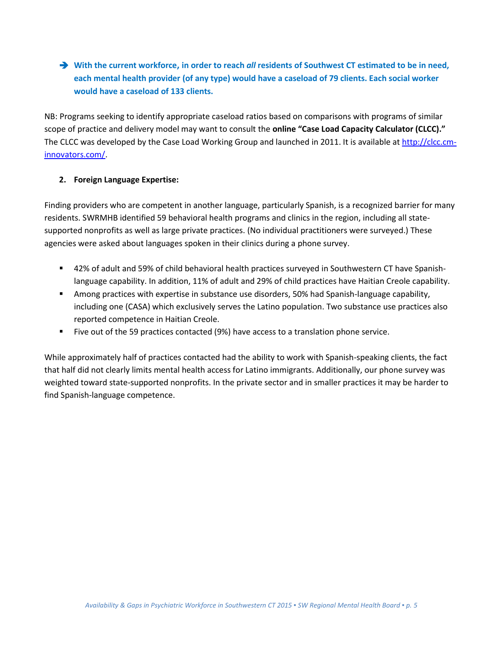**With the current workforce, in order to reach** *all* **residents of Southwest CT estimated to be in need, each mental health provider (of any type) would have a caseload of 79 clients. Each social worker would have a caseload of 133 clients.**

NB: Programs seeking to identify appropriate caseload ratios based on comparisons with programs of similar scope of practice and delivery model may want to consult the **online "Case Load Capacity Calculator (CLCC)."** The CLCC was developed by the Case Load Working Group and launched in 2011. It is available at [http://clcc.cm](http://clcc.cm-innovators.com/)[innovators.com/.](http://clcc.cm-innovators.com/)

#### **2. Foreign Language Expertise:**

Finding providers who are competent in another language, particularly Spanish, is a recognized barrier for many residents. SWRMHB identified 59 behavioral health programs and clinics in the region, including all statesupported nonprofits as well as large private practices. (No individual practitioners were surveyed.) These agencies were asked about languages spoken in their clinics during a phone survey.

- 42% of adult and 59% of child behavioral health practices surveyed in Southwestern CT have Spanishlanguage capability. In addition, 11% of adult and 29% of child practices have Haitian Creole capability.
- Among practices with expertise in substance use disorders, 50% had Spanish-language capability, including one (CASA) which exclusively serves the Latino population. Two substance use practices also reported competence in Haitian Creole.
- Five out of the 59 practices contacted (9%) have access to a translation phone service.

While approximately half of practices contacted had the ability to work with Spanish-speaking clients, the fact that half did not clearly limits mental health access for Latino immigrants. Additionally, our phone survey was weighted toward state-supported nonprofits. In the private sector and in smaller practices it may be harder to find Spanish-language competence.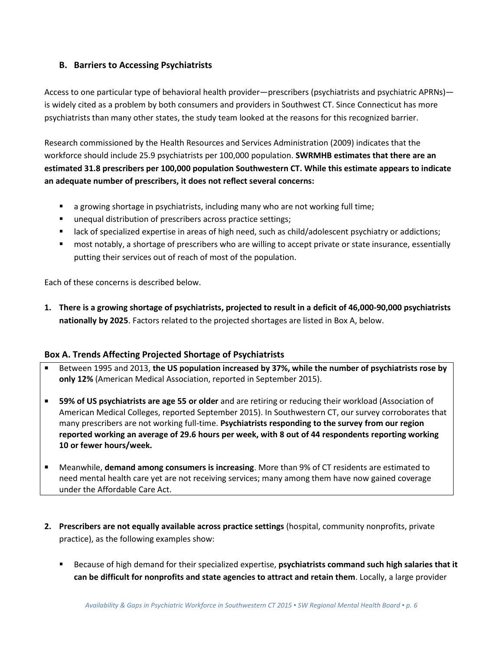## **B. Barriers to Accessing Psychiatrists**

Access to one particular type of behavioral health provider—prescribers (psychiatrists and psychiatric APRNs) is widely cited as a problem by both consumers and providers in Southwest CT. Since Connecticut has more psychiatrists than many other states, the study team looked at the reasons for this recognized barrier.

Research commissioned by the Health Resources and Services Administration (2009) indicates that the workforce should include 25.9 psychiatrists per 100,000 population. **SWRMHB estimates that there are an estimated 31.8 prescribers per 100,000 population Southwestern CT. While this estimate appears to indicate an adequate number of prescribers, it does not reflect several concerns:** 

- **EXED** a growing shortage in psychiatrists, including many who are not working full time;
- unequal distribution of prescribers across practice settings;
- **EXP** lack of specialized expertise in areas of high need, such as child/adolescent psychiatry or addictions;
- most notably, a shortage of prescribers who are willing to accept private or state insurance, essentially putting their services out of reach of most of the population.

Each of these concerns is described below.

**1. There is a growing shortage of psychiatrists, projected to result in a deficit of 46,000-90,000 psychiatrists nationally by 2025**. Factors related to the projected shortages are listed in Box A, below.

#### **Box A. Trends Affecting Projected Shortage of Psychiatrists**

- Between 1995 and 2013, **the US population increased by 37%, while the number of psychiatrists rose by only 12%** (American Medical Association, reported in September 2015).
- **59% of US psychiatrists are age 55 or older** and are retiring or reducing their workload (Association of American Medical Colleges, reported September 2015). In Southwestern CT, our survey corroborates that many prescribers are not working full-time. **Psychiatrists responding to the survey from our region reported working an average of 29.6 hours per week, with 8 out of 44 respondents reporting working 10 or fewer hours/week.**
- Meanwhile, **demand among consumers is increasing**. More than 9% of CT residents are estimated to need mental health care yet are not receiving services; many among them have now gained coverage under the Affordable Care Act.
- **2. Prescribers are not equally available across practice settings** (hospital, community nonprofits, private practice), as the following examples show:
	- Because of high demand for their specialized expertise, **psychiatrists command such high salaries that it can be difficult for nonprofits and state agencies to attract and retain them**. Locally, a large provider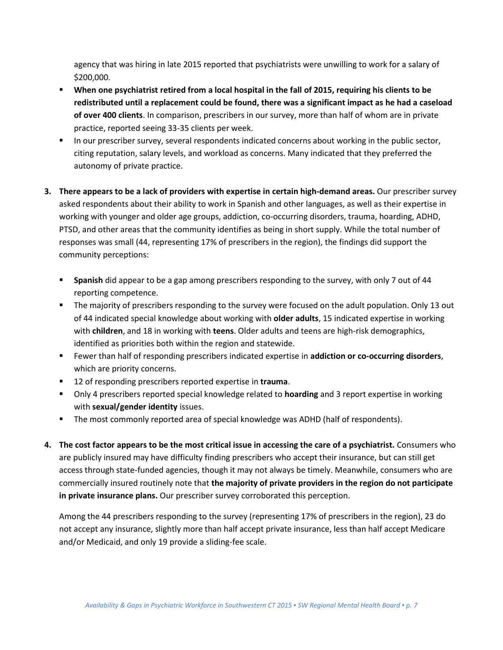agency that was hiring in late 2015 reported that psychiatrists were unwilling to work for a salary of \$200,000.

- **When one psychiatrist retired from a local hospital in the fall of 2015, requiring his clients to be redistributed until a replacement could be found, there was a significant impact as he had a caseload of over 400 clients**. In comparison, prescribers in our survey, more than half of whom are in private practice, reported seeing 33-35 clients per week.
- In our prescriber survey, several respondents indicated concerns about working in the public sector, citing reputation, salary levels, and workload as concerns. Many indicated that they preferred the autonomy of private practice.
- **3. There appears to be a lack of providers with expertise in certain high-demand areas.** Our prescriber survey asked respondents about their ability to work in Spanish and other languages, as well as their expertise in working with younger and older age groups, addiction, co-occurring disorders, trauma, hoarding, ADHD, PTSD, and other areas that the community identifies as being in short supply. While the total number of responses was small (44, representing 17% of prescribers in the region), the findings did support the community perceptions:
	- **Spanish** did appear to be a gap among prescribers responding to the survey, with only 7 out of 44 reporting competence.
	- **The majority of prescribers responding to the survey were focused on the adult population. Only 13 out 4** of 44 indicated special knowledge about working with **older adults**, 15 indicated expertise in working with **children**, and 18 in working with **teens**. Older adults and teens are high-risk demographics, identified as priorities both within the region and statewide.
	- Fewer than half of responding prescribers indicated expertise in **addiction or co-occurring disorders**, which are priority concerns.
	- 12 of responding prescribers reported expertise in **trauma**.
	- Only 4 prescribers reported special knowledge related to **hoarding** and 3 report expertise in working with **sexual/gender identity** issues.
	- The most commonly reported area of special knowledge was ADHD (half of respondents).
- **4. The cost factor appears to be the most critical issue in accessing the care of a psychiatrist.** Consumers who are publicly insured may have difficulty finding prescribers who accept their insurance, but can still get access through state-funded agencies, though it may not always be timely. Meanwhile, consumers who are commercially insured routinely note that **the majority of private providers in the region do not participate in private insurance plans.** Our prescriber survey corroborated this perception.

Among the 44 prescribers responding to the survey (representing 17% of prescribers in the region), 23 do not accept any insurance, slightly more than half accept private insurance, less than half accept Medicare and/or Medicaid, and only 19 provide a sliding-fee scale.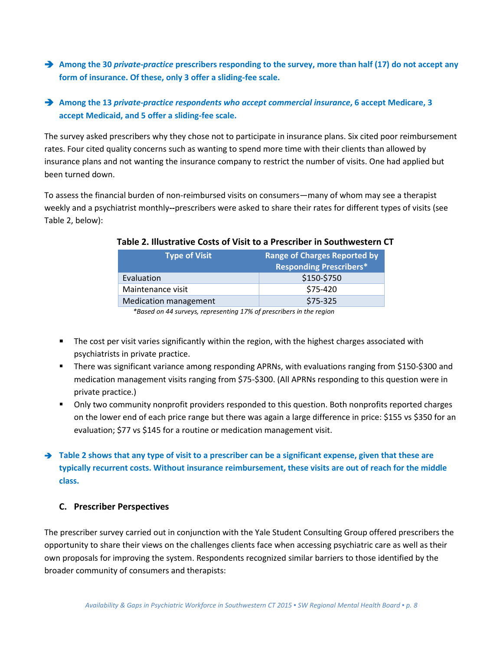**Among the 30** *private-practice* **prescribers responding to the survey, more than half (17) do not accept any form of insurance. Of these, only 3 offer a sliding-fee scale.** 

## **Among the 13** *private-practice respondents who accept commercial insurance***, 6 accept Medicare, 3 accept Medicaid, and 5 offer a sliding-fee scale.**

The survey asked prescribers why they chose not to participate in insurance plans. Six cited poor reimbursement rates. Four cited quality concerns such as wanting to spend more time with their clients than allowed by insurance plans and not wanting the insurance company to restrict the number of visits. One had applied but been turned down.

To assess the financial burden of non-reimbursed visits on consumers—many of whom may see a therapist weekly and a psychiatrist monthly**--**prescribers were asked to share their rates for different types of visits (see Table 2, below):

| <b>Type of Visit</b>         | <b>Range of Charges Reported by</b> |
|------------------------------|-------------------------------------|
|                              | <b>Responding Prescribers*</b>      |
| Evaluation                   | \$150-\$750                         |
| Maintenance visit            | \$75-420                            |
| <b>Medication management</b> | \$75-325                            |

#### **Table 2. Illustrative Costs of Visit to a Prescriber in Southwestern CT**

*\*Based on 44 surveys, representing 17% of prescribers in the region*

- **The cost per visit varies significantly within the region, with the highest charges associated with** psychiatrists in private practice.
- There was significant variance among responding APRNs, with evaluations ranging from \$150-\$300 and medication management visits ranging from \$75-\$300. (All APRNs responding to this question were in private practice.)
- Only two community nonprofit providers responded to this question. Both nonprofits reported charges on the lower end of each price range but there was again a large difference in price: \$155 vs \$350 for an evaluation; \$77 vs \$145 for a routine or medication management visit.

# → Table 2 shows that any type of visit to a prescriber can be a significant expense, given that these are **typically recurrent costs. Without insurance reimbursement, these visits are out of reach for the middle class.**

## **C. Prescriber Perspectives**

The prescriber survey carried out in conjunction with the Yale Student Consulting Group offered prescribers the opportunity to share their views on the challenges clients face when accessing psychiatric care as well as their own proposals for improving the system. Respondents recognized similar barriers to those identified by the broader community of consumers and therapists: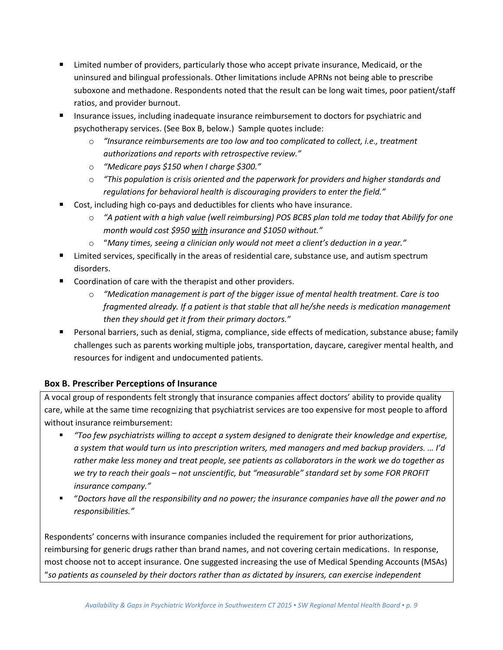- Limited number of providers, particularly those who accept private insurance, Medicaid, or the uninsured and bilingual professionals. Other limitations include APRNs not being able to prescribe suboxone and methadone. Respondents noted that the result can be long wait times, poor patient/staff ratios, and provider burnout.
- **Insurance issues, including inadequate insurance reimbursement to doctors for psychiatric and** psychotherapy services. (See Box B, below.) Sample quotes include:
	- o *"Insurance reimbursements are too low and too complicated to collect, i.e., treatment authorizations and reports with retrospective review."*
	- o *"Medicare pays \$150 when I charge \$300."*
	- o *"This population is crisis oriented and the paperwork for providers and higher standards and regulations for behavioral health is discouraging providers to enter the field."*
- Cost, including high co-pays and deductibles for clients who have insurance.
	- o *"A patient with a high value (well reimbursing) POS BCBS plan told me today that Abilify for one month would cost \$950 with insurance and \$1050 without."*
	- o "*Many times, seeing a clinician only would not meet a client's deduction in a year."*
- Limited services, specifically in the areas of residential care, substance use, and autism spectrum disorders.
- Coordination of care with the therapist and other providers.
	- o *"Medication management is part of the bigger issue of mental health treatment. Care is too fragmented already. If a patient is that stable that all he/she needs is medication management then they should get it from their primary doctors."*
- **Personal barriers, such as denial, stigma, compliance, side effects of medication, substance abuse; family** challenges such as parents working multiple jobs, transportation, daycare, caregiver mental health, and resources for indigent and undocumented patients.

## **Box B. Prescriber Perceptions of Insurance**

A vocal group of respondents felt strongly that insurance companies affect doctors' ability to provide quality care, while at the same time recognizing that psychiatrist services are too expensive for most people to afford without insurance reimbursement:

- *"Too few psychiatrists willing to accept a system designed to denigrate their knowledge and expertise, a system that would turn us into prescription writers, med managers and med backup providers. … I'd rather make less money and treat people, see patients as collaborators in the work we do together as we try to reach their goals – not unscientific, but "measurable" standard set by some FOR PROFIT insurance company."*
- "*Doctors have all the responsibility and no power; the insurance companies have all the power and no responsibilities."*

Respondents' concerns with insurance companies included the requirement for prior authorizations, reimbursing for generic drugs rather than brand names, and not covering certain medications. In response, most choose not to accept insurance. One suggested increasing the use of Medical Spending Accounts (MSAs) "*so patients as counseled by their doctors rather than as dictated by insurers, can exercise independent*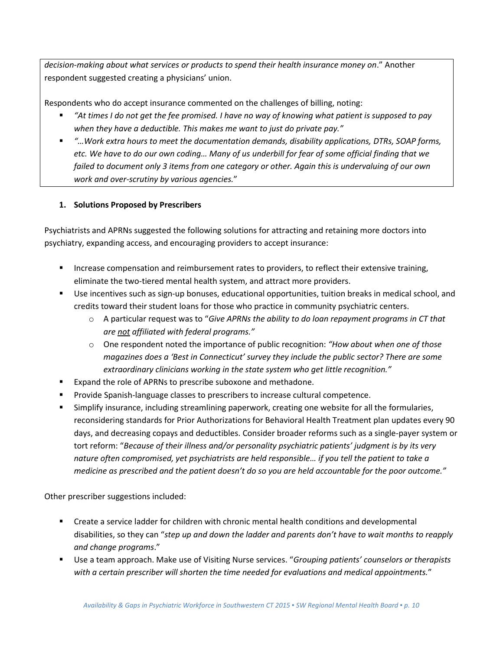*decision-making about what services or products to spend their health insurance money on*." Another respondent suggested creating a physicians' union.

Respondents who do accept insurance commented on the challenges of billing, noting:

- *"At times I do not get the fee promised. I have no way of knowing what patient is supposed to pay when they have a deductible. This makes me want to just do private pay."*
- *"…Work extra hours to meet the documentation demands, disability applications, DTRs, SOAP forms, etc. We have to do our own coding… Many of us underbill for fear of some official finding that we failed to document only 3 items from one category or other. Again this is undervaluing of our own work and over-scrutiny by various agencies.*"

## **1. Solutions Proposed by Prescribers**

Psychiatrists and APRNs suggested the following solutions for attracting and retaining more doctors into psychiatry, expanding access, and encouraging providers to accept insurance:

- **Increase compensation and reimbursement rates to providers, to reflect their extensive training,** eliminate the two-tiered mental health system, and attract more providers.
- Use incentives such as sign-up bonuses, educational opportunities, tuition breaks in medical school, and credits toward their student loans for those who practice in community psychiatric centers.
	- o A particular request was to "*Give APRNs the ability to do loan repayment programs in CT that are not affiliated with federal programs."*
	- o One respondent noted the importance of public recognition: *"How about when one of those magazines does a 'Best in Connecticut' survey they include the public sector? There are some extraordinary clinicians working in the state system who get little recognition."*
- **Expand the role of APRNs to prescribe suboxone and methadone.**
- Provide Spanish-language classes to prescribers to increase cultural competence.
- Simplify insurance, including streamlining paperwork, creating one website for all the formularies, reconsidering standards for Prior Authorizations for Behavioral Health Treatment plan updates every 90 days, and decreasing copays and deductibles. Consider broader reforms such as a single-payer system or tort reform: "*Because of their illness and/or personality psychiatric patients' judgment is by its very nature often compromised, yet psychiatrists are held responsible… if you tell the patient to take a medicine as prescribed and the patient doesn't do so you are held accountable for the poor outcome."*

Other prescriber suggestions included:

- Create a service ladder for children with chronic mental health conditions and developmental disabilities, so they can "*step up and down the ladder and parents don't have to wait months to reapply and change programs*."
- Use a team approach. Make use of Visiting Nurse services. "*Grouping patients' counselors or therapists with a certain prescriber will shorten the time needed for evaluations and medical appointments.*"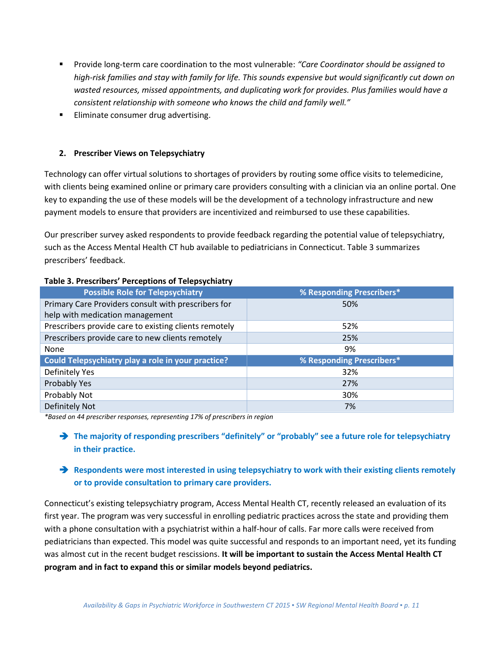- Provide long-term care coordination to the most vulnerable: *"Care Coordinator should be assigned to high-risk families and stay with family for life. This sounds expensive but would significantly cut down on wasted resources, missed appointments, and duplicating work for provides. Plus families would have a consistent relationship with someone who knows the child and family well."*
- **Eliminate consumer drug advertising.**

#### **2. Prescriber Views on Telepsychiatry**

Technology can offer virtual solutions to shortages of providers by routing some office visits to telemedicine, with clients being examined online or primary care providers consulting with a clinician via an online portal. One key to expanding the use of these models will be the development of a technology infrastructure and new payment models to ensure that providers are incentivized and reimbursed to use these capabilities.

Our prescriber survey asked respondents to provide feedback regarding the potential value of telepsychiatry, such as the Access Mental Health CT hub available to pediatricians in Connecticut. Table 3 summarizes prescribers' feedback.

| $18000$ $0.110000$ $0.0000$ $0.0000$ $0.0000$ $0.0000$ |                           |  |  |  |
|--------------------------------------------------------|---------------------------|--|--|--|
| <b>Possible Role for Telepsychiatry</b>                | % Responding Prescribers* |  |  |  |
| Primary Care Providers consult with prescribers for    | 50%                       |  |  |  |
| help with medication management                        |                           |  |  |  |
| Prescribers provide care to existing clients remotely  | 52%                       |  |  |  |
| Prescribers provide care to new clients remotely       | 25%                       |  |  |  |
| None                                                   | 9%                        |  |  |  |
| Could Telepsychiatry play a role in your practice?     | % Responding Prescribers* |  |  |  |
| Definitely Yes                                         | 32%                       |  |  |  |
| Probably Yes                                           | 27%                       |  |  |  |
| Probably Not                                           | 30%                       |  |  |  |
| Definitely Not                                         | 7%                        |  |  |  |

#### **Table 3. Prescribers' Perceptions of Telepsychiatry**

*\*Based on 44 prescriber responses, representing 17% of prescribers in region*

→ The majority of responding prescribers "definitely" or "probably" see a future role for telepsychiatry **in their practice.**

## **→** Respondents were most interested in using telepsychiatry to work with their existing clients remotely **or to provide consultation to primary care providers.**

Connecticut's existing telepsychiatry program, Access Mental Health CT, recently released an evaluation of its first year. The program was very successful in enrolling pediatric practices across the state and providing them with a phone consultation with a psychiatrist within a half-hour of calls. Far more calls were received from pediatricians than expected. This model was quite successful and responds to an important need, yet its funding was almost cut in the recent budget rescissions. **It will be important to sustain the Access Mental Health CT program and in fact to expand this or similar models beyond pediatrics.**